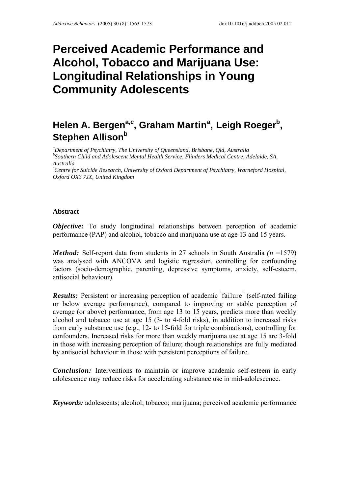# **Perceived Academic Performance and Alcohol, Tobacco and Marijuana Use: Longitudinal Relationships in Young Community Adolescents**

## **Helen A. Bergen<sup>a,c</sup>, Graham Martin<sup>a</sup>, Leigh Roeger<sup>b</sup>, Stephen Allison**b

*a Department of Psychiatry, The University of Queensland, Brisbane, Qld, Australia b Southern Child and Adolescent Mental Health Service, Flinders Medical Centre, Adelaide, SA, Australia* 

*c Centre for Suicide Research, University of Oxford Department of Psychiatry, Warneford Hospital, Oxford OX3 7JX, United Kingdom* 

## **Abstract**

*Objective:* To study longitudinal relationships between perception of academic performance (PAP) and alcohol, tobacco and marijuana use at age 13 and 15 years.

*Method:* Self-report data from students in 27 schools in South Australia *(n* =1579) was analysed with ANCOVA and logistic regression, controlling for confounding factors (socio-demographic, parenting, depressive symptoms, anxiety, self-esteem, antisocial behaviour).

**Results:** Persistent or increasing perception of academic failure (self-rated failing or below average performance), compared to improving or stable perception of average (or above) performance, from age 13 to 15 years, predicts more than weekly alcohol and tobacco use at age 15 (3- to 4-fold risks), in addition to increased risks from early substance use (e.g., 12- to 15-fold for triple combinations), controlling for confounders. Increased risks for more than weekly marijuana use at age 15 are 3-fold in those with increasing perception of failure; though relationships are fully mediated by antisocial behaviour in those with persistent perceptions of failure.

*Conclusion:* Interventions to maintain or improve academic self-esteem in early adolescence may reduce risks for accelerating substance use in mid-adolescence.

*Keywords:* adolescents; alcohol; tobacco; marijuana; perceived academic performance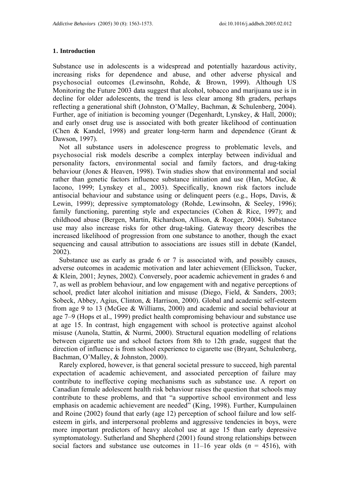#### **1. Introduction**

Substance use in adolescents is a widespread and potentially hazardous activity, increasing risks for dependence and abuse, and other adverse physical and psychosocial outcomes (Lewinsohn, Rohde, & Brown, 1999). Although US Monitoring the Future 2003 data suggest that alcohol, tobacco and marijuana use is in decline for older adolescents, the trend is less clear among 8th graders, perhaps reflecting a generational shift (Johnston, O'Malley, Bachman, & Schulenberg, 2004). Further, age of initiation is becoming younger (Degenhardt, Lynskey, & Hall, 2000); and early onset drug use is associated with both greater likelihood of continuation (Chen & Kandel, 1998) and greater long-term harm and dependence (Grant & Dawson, 1997).

Not all substance users in adolescence progress to problematic levels, and psychosocial risk models describe a complex interplay between individual and personality factors, environmental social and family factors, and drug-taking behaviour (Jones & Heaven, 1998). Twin studies show that environmental and social rather than genetic factors influence substance initiation and use (Han, McGue, & Iacono, 1999; Lynskey et al., 2003). Specifically, known risk factors include antisocial behaviour and substance using or delinquent peers (e.g., Hops, Davis, & Lewin, 1999); depressive symptomatology (Rohde, Lewinsohn, & Seeley, 1996); family functioning, parenting style and expectancies (Cohen & Rice, 1997); and childhood abuse (Bergen, Martin, Richardson, Allison, & Roeger, 2004). Substance use may also increase risks for other drug-taking. Gateway theory describes the increased likelihood of progression from one substance to another, though the exact sequencing and causal attribution to associations are issues still in debate (Kandel, 2002).

Substance use as early as grade 6 or 7 is associated with, and possibly causes, adverse outcomes in academic motivation and later achievement (Ellickson, Tucker, & Klein, 2001; Jeynes, 2002). Conversely, poor academic achievement in grades 6 and 7, as well as problem behaviour, and low engagement with and negative perceptions of school, predict later alcohol initiation and misuse (Diego, Field, & Sanders, 2003; Sobeck, Abbey, Agius, Clinton, & Harrison, 2000). Global and academic self-esteem from age 9 to 13 (McGee & Williams, 2000) and academic and social behaviour at age 7–9 (Hops et al., 1999) predict health compromising behaviour and substance use at age 15. In contrast, high engagement with school is protective against alcohol misuse (Aunola, Stattin, & Nurmi, 2000). Structural equation modelling of relations between cigarette use and school factors from 8th to 12th grade, suggest that the direction of influence is from school experience to cigarette use (Bryant, Schulenberg, Bachman, O'Malley, & Johnston, 2000).

Rarely explored, however, is that general societal pressure to succeed, high parental expectation of academic achievement, and associated perception of failure may contribute to ineffective coping mechanisms such as substance use. A report on Canadian female adolescent health risk behaviour raises the question that schools may contribute to these problems, and that "a supportive school environment and less emphasis on academic achievement are needed" (King, 1998). Further, Kumpulainen and Roine (2002) found that early (age 12) perception of school failure and low selfesteem in girls, and interpersonal problems and aggressive tendencies in boys, were more important predictors of heavy alcohol use at age 15 than early depressive symptomatology. Sutherland and Shepherd (2001) found strong relationships between social factors and substance use outcomes in  $11-16$  year olds ( $n = 4516$ ), with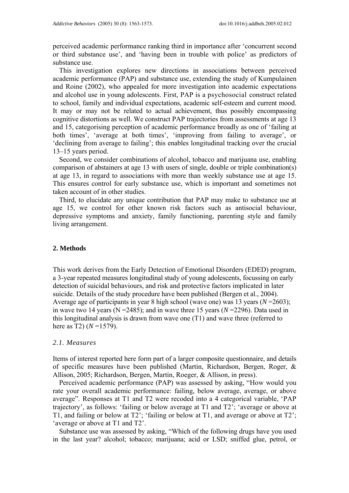perceived academic performance ranking third in importance after 'concurrent second or third substance use', and 'having been in trouble with police' as predictors of substance use.

This investigation explores new directions in associations between perceived academic performance (PAP) and substance use, extending the study of Kumpulainen and Roine (2002), who appealed for more investigation into academic expectations and alcohol use in young adolescents. First, PAP is a psychosocial construct related to school, family and individual expectations, academic self-esteem and current mood. It may or may not be related to actual achievement, thus possibly encompassing cognitive distortions as well. We construct PAP trajectories from assessments at age 13 and 15, categorising perception of academic performance broadly as one of 'failing at both times', 'average at both times', 'improving from failing to average', or 'declining from average to failing'; this enables longitudinal tracking over the crucial 13–15 years period.

Second, we consider combinations of alcohol, tobacco and marijuana use, enabling comparison of abstainers at age 13 with users of single, double or triple combination(s) at age 13, in regard to associations with more than weekly substance use at age 15. This ensures control for early substance use, which is important and sometimes not taken account of in other studies.

Third, to elucidate any unique contribution that PAP may make to substance use at age 15, we control for other known risk factors such as antisocial behaviour, depressive symptoms and anxiety, family functioning, parenting style and family living arrangement.

#### **2. Methods**

This work derives from the Early Detection of Emotional Disorders (EDED) program, a 3-year repeated measures longitudinal study of young adolescents, focussing on early detection of suicidal behaviours, and risk and protective factors implicated in later suicide. Details of the study procedure have been published (Bergen et al., 2004). Average age of participants in year 8 high school (wave one) was 13 years (*N* =2603); in wave two 14 years ( $N = 2485$ ); and in wave three 15 years ( $N = 2296$ ). Data used in this longitudinal analysis is drawn from wave one (T1) and wave three (referred to here as T2)  $(N=1579)$ .

## *2.1. Measures*

Items of interest reported here form part of a larger composite questionnaire, and details of specific measures have been published (Martin, Richardson, Bergen, Roger, & Allison, 2005; Richardson, Bergen, Martin, Roeger, & Allison, in press).

Perceived academic performance (PAP) was assessed by asking, "How would you rate your overall academic performance: failing, below average, average, or above average". Responses at T1 and T2 were recoded into a 4 categorical variable, 'PAP trajectory', as follows: 'failing or below average at T1 and T2'; 'average or above at T1, and failing or below at T2'; 'failing or below at T1, and average or above at T2'; 'average or above at T1 and T2'.

Substance use was assessed by asking, "Which of the following drugs have you used in the last year? alcohol; tobacco; marijuana; acid or LSD; sniffed glue, petrol, or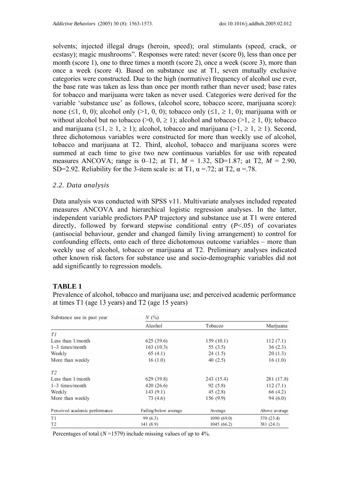solvents; injected illegal drugs (heroin, speed); oral stimulants (speed, crack, or ecstasy); magic mushrooms". Responses were rated: never (score 0), less than once per month (score 1), one to three times a month (score 2), once a week (score 3), more than once a week (score 4). Based on substance use at T1, seven mutually exclusive categories were constructed. Due to the high (normative) frequency of alcohol use ever, the base rate was taken as less than once per month rather than never used; base rates for tobacco and marijuana were taken as never used. Categories were derived for the variable 'substance use' as follows, (alcohol score, tobacco score, marijuana score): none (≤1, 0, 0); alcohol only (>1, 0, 0); tobacco only (≤1, ≥ 1, 0); marijuana with or without alcohol but no tobacco ( $>0$ ,  $0, \ge 1$ ); alcohol and tobacco ( $>1, \ge 1, 0$ ); tobacco and marijuana ( $\leq 1, \geq 1, \geq 1$ ); alcohol, tobacco and marijuana ( $\geq 1, \geq 1, \geq 1$ ). Second, three dichotomous variables were constructed for more than weekly use of alcohol, tobacco and marijuana at T2. Third, alcohol, tobacco and marijuana scores were summed at each time to give two new continuous variables for use with repeated measures ANCOVA; range is 0–12; at T1, *M* = 1.32, SD=1.87; at T2, *M* = 2.90, SD=2.92. Reliability for the 3-item scale is: at T1,  $\alpha$  =.72; at T2,  $\alpha$  =.78.

## *2.2. Data analysis*

Data analysis was conducted with SPSS v11. Multivariate analyses included repeated measures ANCOVA and hierarchical logistic regression analyses. In the latter, independent variable predictors PAP trajectory and substance use at T1 were entered directly, followed by forward stepwise conditional entry (*P*<.05) of covariates (antisocial behaviour, gender and changed family living arrangement) to control for confounding effects, onto each of three dichotomous outcome variables – more than weekly use of alcohol, tobacco or marijuana at T2. Preliminary analyses indicated other known risk factors for substance use and socio-demographic variables did not add significantly to regression models.

## **TABLE 1**

Prevalence of alcohol, tobacco and marijuana use; and perceived academic performance at times T1 (age 13 years) and T2 (age 15 years)

| Substance use in past year     | N(%)                  |             |               |  |  |
|--------------------------------|-----------------------|-------------|---------------|--|--|
|                                | Alcohol               | Tobacco     | Marijuana     |  |  |
| T1                             |                       |             |               |  |  |
| Less than $1/m$ onth           | 625 (39.6)            | 159(10.1)   | 112(7.1)      |  |  |
| $1-3$ times/month              | 163 (10.3)            | 55 (3.5)    | 36(2.3)       |  |  |
| Weekly                         | 65(4.1)               | 24(1.5)     | 20(1.3)       |  |  |
| More than weekly               | 16(1.0)               | 40(2.5)     | 16(1.0)       |  |  |
| T2                             |                       |             |               |  |  |
| Less than $1/m$ onth           | 629 (39.8)            | 243 (15.4)  | 281 (17.8)    |  |  |
| $1-3$ times/month              | 420 (26.6)            | 92(5.8)     | 112(7.1)      |  |  |
| Weekly                         | 143 (9.1)             | 45(2.8)     | 66 (4.2)      |  |  |
| More than weekly               | 73 (4.6)              | 156 (9.9)   | 94 (6.0)      |  |  |
| Perceived academic performance | Failing/below average | Average     | Above average |  |  |
| T1                             | 99 (6.3)              | 1090 (69.0) | 370 (23.4)    |  |  |
| T <sub>2</sub>                 | 141 (8.9)             | 1045 (66.2) | 381 (24.1)    |  |  |

Percentages of total (*N* =1579) include missing values of up to 4%.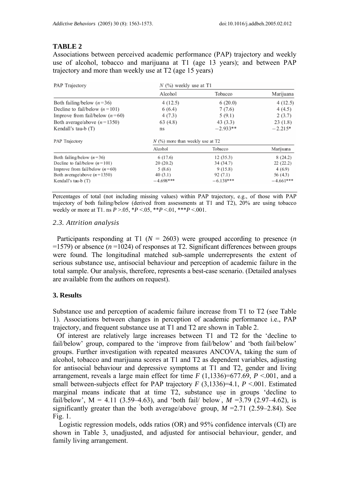## **TABLE 2**

Associations between perceived academic performance (PAP) trajectory and weekly use of alcohol, tobacco and marijuana at T1 (age 13 years); and between PAP trajectory and more than weekly use at T2 (age 15 years)

| PAP Trajectory                   | $N$ (%) weekly use at T1           |             |                   |  |  |
|----------------------------------|------------------------------------|-------------|-------------------|--|--|
|                                  | Alcohol                            | Tobacco     | Marijuana         |  |  |
| Both failing/below $(n=36)$      | 4(12.5)                            | 6(20.0)     | 4(12.5)           |  |  |
| Decline to fail/below $(n=101)$  | 6(6.4)                             | 7(7.6)      | 4(4.5)            |  |  |
| Improve from fail/below $(n=60)$ | 4(7.3)                             | 5(9.1)      | 2(3.7)<br>23(1.8) |  |  |
| Both average/above $(n=1350)$    | 63 (4.8)                           | 43(3.3)     |                   |  |  |
| Kendall's tau-b $(T)$            | $-2.933**$<br>ns                   |             | $-2.215*$         |  |  |
| PAP Trajectory                   | $N$ (%) more than weekly use at T2 |             |                   |  |  |
|                                  | Alcohol                            | Tobacco     | Marijuana         |  |  |
| Both failing/below $(n=36)$      | 6 (17.6)                           | 12(35.3)    | 8(24.2)           |  |  |
| Decline to fail/below $(n=101)$  | 20(20.2)                           | 34 (34.7)   | 22(22.2)          |  |  |
| Improve from fail/below $(n=60)$ | 5(8.6)                             | 9(15.8)     | 4(6.9)            |  |  |
| Both average/above $(n=1350)$    | 40(3.1)                            | 92 (7.1)    | 56 (4.3)          |  |  |
| Kendall's tau-b (T)              | $-4.698***$                        | $-6.138***$ | $-4.661***$       |  |  |

Percentages of total (not including missing values) within PAP trajectory, e.g., of those with PAP trajectory of both failing/below (derived from assessments at T1 and T2), 20% are using tobacco weekly or more at T1. ns  $P > 0.05$ ,  $*P < 0.05$ ,  $*P < 0.01$ ,  $**P < 0.01$ .

### *2.3. Attrition analysis*

Participants responding at T1 (*N* = 2603) were grouped according to presence (*n*  $=1579$ ) or absence ( $n=1024$ ) of responses at T2. Significant differences between groups were found. The longitudinal matched sub-sample underrepresents the extent of serious substance use, antisocial behaviour and perception of academic failure in the total sample. Our analysis, therefore, represents a best-case scenario. (Detailed analyses are available from the authors on request).

## **3. Results**

Substance use and perception of academic failure increase from T1 to T2 (see Table 1). Associations between changes in perception of academic performance i.e., PAP trajectory, and frequent substance use at T1 and T2 are shown in Table 2.

Of interest are relatively large increases between T1 and T2 for the 'decline to fail/below' group, compared to the 'improve from fail/below' and 'both fail/below' groups. Further investigation with repeated measures ANCOVA, taking the sum of alcohol, tobacco and marijuana scores at T1 and T2 as dependent variables, adjusting for antisocial behaviour and depressive symptoms at T1 and T2, gender and living arrangement, reveals a large main effect for time  $F(1,1336)=677.69$ ,  $P<.001$ , and a small between-subjects effect for PAP trajectory  $F(3,1336)=4.1, P<.001$ . Estimated marginal means indicate that at time T2, substance use in groups 'decline to fail/below',  $M = 4.11$  (3.59–4.63), and 'both fail/ below,  $M = 3.79$  (2.97–4.62), is significantly greater than the 'both average/above' group,  $M = 2.71$  (2.59–2.84). See Fig. 1.

Logistic regression models, odds ratios (OR) and 95% confidence intervals (CI) are shown in Table 3, unadjusted, and adjusted for antisocial behaviour, gender, and family living arrangement.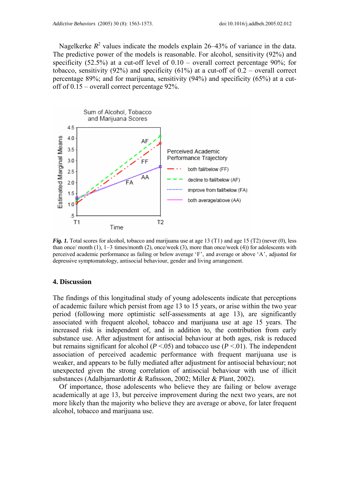Nagelkerke  $R^2$  values indicate the models explain 26–43% of variance in the data. The predictive power of the models is reasonable. For alcohol, sensitivity (92%) and specificity (52.5%) at a cut-off level of  $0.10$  – overall correct percentage 90%; for tobacco, sensitivity (92%) and specificity (61%) at a cut-off of  $0.2$  – overall correct percentage 89%; and for marijuana, sensitivity (94%) and specificity (65%) at a cutoff of 0.15 – overall correct percentage 92%.



*Fig. 1.* Total scores for alcohol, tobacco and marijuana use at age 13 (T1) and age 15 (T2) (never (0), less than once/ month (1), 1–3 times/month (2), once/week (3), more than once/week (4)) for adolescents with perceived academic performance as failing or below average 'F', and average or above 'A', adjusted for depressive symptomatology, antisocial behaviour, gender and living arrangement.

#### **4. Discussion**

The findings of this longitudinal study of young adolescents indicate that perceptions of academic failure which persist from age 13 to 15 years, or arise within the two year period (following more optimistic self-assessments at age 13), are significantly associated with frequent alcohol, tobacco and marijuana use at age 15 years. The increased risk is independent of, and in addition to, the contribution from early substance use. After adjustment for antisocial behaviour at both ages, risk is reduced but remains significant for alcohol ( $P < .05$ ) and tobacco use ( $P < .01$ ). The independent association of perceived academic performance with frequent marijuana use is weaker, and appears to be fully mediated after adjustment for antisocial behaviour; not unexpected given the strong correlation of antisocial behaviour with use of illicit substances (Adalbjarnardottir & Rafnsson, 2002; Miller & Plant, 2002).

Of importance, those adolescents who believe they are failing or below average academically at age 13, but perceive improvement during the next two years, are not more likely than the majority who believe they are average or above, for later frequent alcohol, tobacco and marijuana use.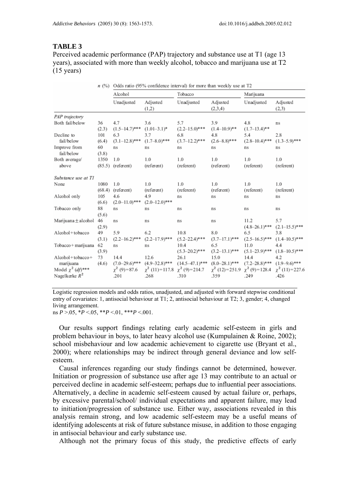#### **TABLE 3**

Perceived academic performance (PAP) trajectory and substance use at T1 (age 13 years), associated with more than weekly alcohol, tobacco and marijuana use at T2 (15 years)

|                         | n(%)   | Odds ratio (95% confidence interval) for more than weekly use at 12 |                     |                      |                     |                    |                     |  |
|-------------------------|--------|---------------------------------------------------------------------|---------------------|----------------------|---------------------|--------------------|---------------------|--|
|                         |        | Alcohol                                                             |                     | Tobacco              |                     | Marijuana          |                     |  |
|                         |        | Unadjusted                                                          | Adjusted<br>(1,2)   | Unadjusted           | Adjusted<br>(2,3,4) | Unadjusted         | Adjusted<br>(2,3)   |  |
| PAP trajectory          |        |                                                                     |                     |                      |                     |                    |                     |  |
| Both fail/below         | 36     | 4.7                                                                 | 3.6                 | 5.7                  | 3.9                 | 4.8                | ns                  |  |
|                         | (2.3)  | $(1.5 - 14.7)$ ***                                                  | $(1.01 - 3.1)^*$    | $(2.2 - 15.0)^{***}$ | $(1.4 - 10.9)$ **   | $(1.7-13.4)$ **    |                     |  |
| Decline to              | 101    | 6.3                                                                 | 3.7                 | 6.8                  | 4.8                 | 5.4                | 2.8                 |  |
| fail/below              | (6.4)  | $(3.1 - 12.8)$ ***                                                  | $(1.7 - 8.0)$ ***   | $(3.7 - 12.2)$ ***   | $(2.6 - 8.8)$ ***   | $(2.8 - 10.4)$ *** | $(1.3-5.9)$ ***     |  |
| Improve from            | 60     | ns                                                                  | ns                  | ns                   | ns                  | ns                 | ns                  |  |
| fail/below              | (3.8)  |                                                                     |                     |                      |                     |                    |                     |  |
| Both average/           | 1350   | 1.0                                                                 | 1.0                 | 1.0                  | 1.0                 | 1.0                | 1.0                 |  |
| above                   |        | $(85.5)$ (referent)                                                 | (referent)          | (referent)           | (referent)          | (referent)         | (referent)          |  |
| Substance use at TI     |        |                                                                     |                     |                      |                     |                    |                     |  |
| None                    | 1080   | 1.0                                                                 | 1.0                 | 1.0                  | 1.0                 | 1.0                | 1.0                 |  |
|                         | (68.4) | (referent)                                                          | (referent)          | (referent)           | (referent)          | (referent)         | (referent)          |  |
| Alcohol only            | 105    | 4.6                                                                 | 4.9                 | ns                   | ns                  | ns                 | ns                  |  |
|                         | (6.6)  | $(2.0 - 11.0)$ ***                                                  | $(2.0 - 12.0)$ ***  |                      |                     |                    |                     |  |
| Tobacco only            | 88     | ns                                                                  | ns                  | ns                   | ns                  | ns                 | ns                  |  |
|                         | (5.6)  |                                                                     |                     |                      |                     |                    |                     |  |
| Marijuana $\pm$ alcohol | 46     | ns                                                                  | ns                  | ns                   | ns                  | 11.2               | 5.7                 |  |
|                         | (2.9)  |                                                                     |                     |                      |                     | $(4.8 - 26.1)$ *** | $(2.1 - 15.5)$ ***  |  |
| Alcohol+tobacco         | 49     | 5.9                                                                 | 6.2                 | 10.8                 | 8.0                 | 6.5                | 3.8                 |  |
|                         | (3.1)  | $(2.2 - 16.2)$ ***                                                  | $(2.2 - 17.9)$ ***  | $(5.2 - 22.4)$ ***   | $(3.7-17.1)$ ***    | $(2.5 - 16.5)$ *** | $(1.4 - 10.5)$ ***  |  |
| Tobacco + marijuana     | 62     | ns                                                                  | ns                  | 10.4                 | 6.5                 | 11.0               | 4.4                 |  |
|                         | (3.9)  |                                                                     |                     | $(5.3 - 20.2)$ ***   | $(3.2 - 13.1)$ ***  | $(5.1 - 23.9)$ *** | $(1.8 - 10.5)$ ***  |  |
| $Alcohol + tobacco +$   | 73     | 14.4                                                                | 12.6                | 26.1                 | 15.0                | 14.4               | 4.2                 |  |
| marijuana               | (4.6)  | $(7.0-29.6)$ ***                                                    | $(4.9 - 32.8)$ ***  | $(14.5 - 47.1)$ ***  | $(8.0 - 28.1)$ ***  | $(7.2 - 28.8)$ *** | $(1.9-9.6)$ ***     |  |
| Model $\chi^2$ (df)***  |        | $\chi^2$ (9) = 87.6                                                 | $\chi^2$ (11)=117.8 | $\chi^2$ (9)=214.7   | $\chi^2$ (12)=251.9 | $\chi^2$ (9)=128.4 | $\chi^2$ (11)=227.6 |  |
| Nagelkerke $R^2$        |        | .201                                                                | .268                | .310                 | .359                | .249               | .426                |  |

Logistic regression models and odds ratios, unadjusted, and adjusted with forward stepwise conditional entry of covariates: 1, antisocial behaviour at T1; 2, antisocial behaviour at T2; 3, gender; 4, changed living arrangement.

ns  $P > 0.05$ ,  $*P < 0.05$ ,  $*P < 0.01$ ,  $**P < 0.01$ .

Our results support findings relating early academic self-esteem in girls and problem behaviour in boys, to later heavy alcohol use (Kumpulainen & Roine, 2002); school misbehaviour and low academic achievement to cigarette use (Bryant et al., 2000); where relationships may be indirect through general deviance and low selfesteem.

Causal inferences regarding our study findings cannot be determined, however. Initiation or progression of substance use after age 13 may contribute to an actual or perceived decline in academic self-esteem; perhaps due to influential peer associations. Alternatively, a decline in academic self-esteem caused by actual failure or, perhaps, by excessive parental/school/ individual expectations and apparent failure, may lead to initiation/progression of substance use. Either way, associations revealed in this analysis remain strong, and low academic self-esteem may be a useful means of identifying adolescents at risk of future substance misuse, in addition to those engaging in antisocial behaviour and early substance use.

Although not the primary focus of this study, the predictive effects of early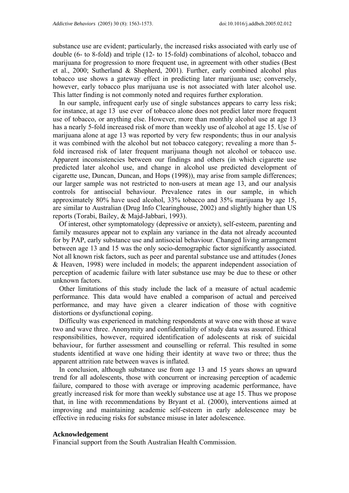substance use are evident; particularly, the increased risks associated with early use of double (6- to 8-fold) and triple (12- to 15-fold) combinations of alcohol, tobacco and marijuana for progression to more frequent use, in agreement with other studies (Best et al., 2000; Sutherland & Shepherd, 2001). Further, early combined alcohol plus tobacco use shows a gateway effect in predicting later marijuana use; conversely, however, early tobacco plus marijuana use is not associated with later alcohol use. This latter finding is not commonly noted and requires further exploration.

In our sample, infrequent early use of single substances appears to carry less risk; for instance, at age 13 use ever of tobacco alone does not predict later more frequent use of tobacco, or anything else. However, more than monthly alcohol use at age 13 has a nearly 5-fold increased risk of more than weekly use of alcohol at age 15. Use of marijuana alone at age 13 was reported by very few respondents; thus in our analysis it was combined with the alcohol but not tobacco category; revealing a more than 5 fold increased risk of later frequent marijuana though not alcohol or tobacco use. Apparent inconsistencies between our findings and others (in which cigarette use predicted later alcohol use, and change in alcohol use predicted development of cigarette use, Duncan, Duncan, and Hops (1998)), may arise from sample differences; our larger sample was not restricted to non-users at mean age 13, and our analysis controls for antisocial behaviour. Prevalence rates in our sample, in which approximately 80% have used alcohol, 33% tobacco and 35% marijuana by age 15, are similar to Australian (Drug Info Clearinghouse, 2002) and slightly higher than US reports (Torabi, Bailey, & Majd-Jabbari, 1993).

Of interest, other symptomatology (depressive or anxiety), self-esteem, parenting and family measures appear not to explain any variance in the data not already accounted for by PAP, early substance use and antisocial behaviour. Changed living arrangement between age 13 and 15 was the only socio-demographic factor significantly associated. Not all known risk factors, such as peer and parental substance use and attitudes (Jones & Heaven, 1998) were included in models; the apparent independent association of perception of academic failure with later substance use may be due to these or other unknown factors.

Other limitations of this study include the lack of a measure of actual academic performance. This data would have enabled a comparison of actual and perceived performance, and may have given a clearer indication of those with cognitive distortions or dysfunctional coping.

Difficulty was experienced in matching respondents at wave one with those at wave two and wave three. Anonymity and confidentiality of study data was assured. Ethical responsibilities, however, required identification of adolescents at risk of suicidal behaviour, for further assessment and counselling or referral. This resulted in some students identified at wave one hiding their identity at wave two or three; thus the apparent attrition rate between waves is inflated.

In conclusion, although substance use from age 13 and 15 years shows an upward trend for all adolescents, those with concurrent or increasing perception of academic failure, compared to those with average or improving academic performance, have greatly increased risk for more than weekly substance use at age 15. Thus we propose that, in line with recommendations by Bryant et al. (2000), interventions aimed at improving and maintaining academic self-esteem in early adolescence may be effective in reducing risks for substance misuse in later adolescence.

#### **Acknowledgement**

Financial support from the South Australian Health Commission.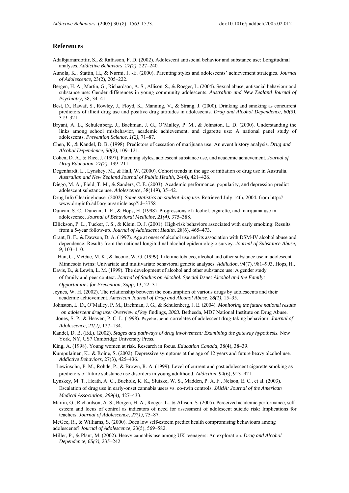#### **References**

- Adalbjarnardottir, S., & Rafnsson, F. D. (2002). Adolescent antisocial behavior and substance use: Longitudinal analyses. *Addictive Behaviors, 27(2),* 227–240.
- Aunola, K., Stattin, H., & Nurmi, J. -E. (2000). Parenting styles and adolescents' achievement strategies. *Journal of Adolescence,* 23(2), 205–222.
- Bergen, H. A., Martin, G., Richardson, A. S., Allison, S., & Roeger, L. (2004). Sexual abuse, antisocial behaviour and substance use: Gender differences in young community adolescents. *Australian and New Zealand Journal of Psychiatry,* 38, 34–41.
- Best, D., Rawaf, S., Rowley, J., Floyd, K., Manning, V., & Strang, J. (2000). Drinking and smoking as concurrent predictors of illicit drug use and positive drug attitudes in adolescents. *Drug and Alcohol Dependence, 60(3),*  319–321.
- Bryant, A. L., Schulenberg, J., Bachman, J. G., O'Malley, P. M., & Johnston, L. D. (2000). Understanding the links among school misbehavior, academic achievement, and cigarette use: A national panel study of adolescents. *Prevention Science, 1(2),* 71–87.
- Chen, K., & Kandel, D. B. (1998). Predictors of cessation of marijuana use: An event history analysis. *Drug and Alcohol Dependence, 50(2),* 109–121.
- Cohen, D. A., & Rice, J. (1997). Parenting styles, adolescent substance use, and academic achievement. *Journal of Drug Education, 27(2),* 199–211.
- Degenhardt, L., Lynskey, M., & Hall, W. (2000). Cohort trends in the age of initiation of drug use in Australia. *Australian and New Zealand Journal of Public Health,* 24(4), 421–426.
- Diego, M. A., Field, T. M., & Sanders, C. E. (2003). Academic performance, popularity, and depression predict adolescent substance use. *Adolescence,* 38(149), 35–42.
- Drug Info Clearinghouse. (2002). *Some statistics on student drug use.* Retrieved July 14th, 2004, from http:// www.druginfo.adf.org.au/article.asp?id=3758
- Duncan, S. C., Duncan, T. E., & Hops, H. (1998). Progressions of alcohol, cigarette, and marijuana use in adolescence. *Journal of Behavioral Medicine, 21(4),* 375–388.
- Ellickson, P. L., Tucker, J. S., & Klein, D. J. (2001). High-risk behaviors associated with early smoking: Results from a 5-year follow-up. *Journal of Adolescent Health,* 28(6), 465–473.
- Grant, B. F., & Dawson, D. A. (1997). Age at onset of alcohol use and its association with DSM-IV alcohol abuse and dependence: Results from the national longitudinal alcohol epidemiologic survey. *Journal of Substance Abuse, 9,* 103–110.

Han, C., McGue, M. K., & Iacono, W. G. (1999). Lifetime tobacco, alcohol and other substance use in adolescent Minnesota twins: Univariate and multivariate behavioral genetic analyses. *Addiction,* 94(7), 981–993. Hops, H.,

- Davis, B., & Lewin, L. M. (1999). The development of alcohol and other substance use: A gender study of family and peer context. *Journal of Studies on Alcohol. Special Issue: Alcohol and the Family: Opportunities for Prevention, Supp,* 13, 22–31.
- Jeynes, W. H. (2002). The relationship between the consumption of various drugs by adolescents and their academic achievement. *American Journal of Drug and Alcohol Abuse, 28(1),* 15–35.
- Johnston, L. D., O'Malley, P. M., Bachman, J. G., & Schulenberg, J. E. (2004). *Monitoring the future national results on adolescent drug use: Overview of key* findings, *2003.* Bethesda, MD7 National Institute on Drug Abuse.
- Jones, S. P., & Heaven, P. C. L. (1998). Psychosocial correlates of adolescent drug-taking behaviour. *Journal of Adolescence, 21(2),* 127–134.
- Kandel, D. B. (Ed.). (2002). *Stages and pathways of drug involvement: Examining the gateway hypothesis.* New York, NY, US7 Cambridge University Press.
- King, A. (1998). Young women at risk. Research in focus. *Education Canada,* 38(4), 38–39.
- Kumpulainen, K., & Roine, S. (2002). Depressive symptoms at the age of 12 years and future heavy alcohol use. *Addictive Behaviors,* 27(3), 425–436.
- Lewinsohn, P. M., Rohde, P., & Brown, R. A. (1999). Level of current and past adolescent cigarette smoking as predictors of future substance use disorders in young adulthood. *Addiction,* 94(6), 913–921.
- Lynskey, M. T., Heath, A. C., Bucholz, K. K., Slutske, W. S., Madden, P. A. F., Nelson, E. C., et al. (2003). Escalation of drug use in early-onset cannabis users vs. co-twin controls. *JAMA: Journal of the American Medical Association, 289(4),* 427–433.
- Martin, G., Richardson, A. S., Bergen, H. A., Roeger, L., & Allison, S. (2005). Perceived academic performance, selfesteem and locus of control as indicators of need for assessment of adolescent suicide risk: Implications for teachers. *Journal of Adolescence, 27(1),* 75–87.

McGee, R., & Williams, S. (2000). Does low self-esteem predict health compromising behaviours among adolescents? *Journal of Adolescence,* 23(5), 569–582.

Miller, P., & Plant, M. (2002). Heavy cannabis use among UK teenagers: An exploration. *Drug and Alcohol Dependence, 65(3),* 235–242.